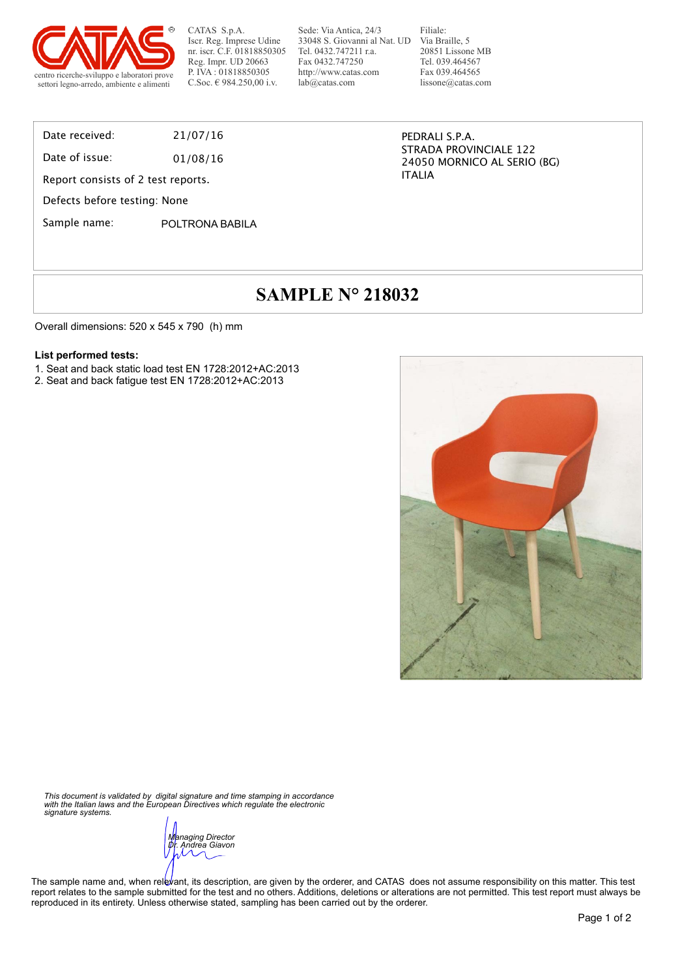

CATAS S.p.A. Iscr. Reg. Imprese Udine nr. iscr. C.F. 01818850305 Reg. Impr. UD 20663 P. IVA : 01818850305<br>C.Soc. € 984.250,00 i.v.

Sede: Via Antica, 24/3 33048 S. Giovanni al Nat. UD Tel. 0432.747211 r.a. Fax 0432.747250 http://www.catas.com lab@catas.com

Filiale: Via Braille, 5 20851 Lissone MB Tel. 039.464567 Fax 039.464565 lissone@catas.com

Date received: 21/07/16

Date of issue: 01/08/16

Report consists of 2 test reports.

Defects before testing: None

Sample name: POLTRONA BABILA

PEDRALI S.P.A. STRADA PROVINCIALE 122 24050 MORNICO AL SERIO (BG) ITALIA

# **SAMPLE N° 218032**

Overall dimensions: 520 x 545 x 790 (h) mm

#### **List performed tests:**

- 1. Seat and back static load test EN 1728:2012+AC:2013
- 2. Seat and back fatigue test EN 1728:2012+AC:2013



*This document is validated by digital signature and time stamping in accordance with the Italian laws and the European Directives which regulate the electronic signature systems.* 

*Managing Director Dr. Andrea Giavon* 

The sample name and, when relevant, its description, are given by the orderer, and CATAS does not assume responsibility on this matter. This test report relates to the sample submitted for the test and no others. Additions, deletions or alterations are not permitted. This test report must always be reproduced in its entirety. Unless otherwise stated, sampling has been carried out by the orderer.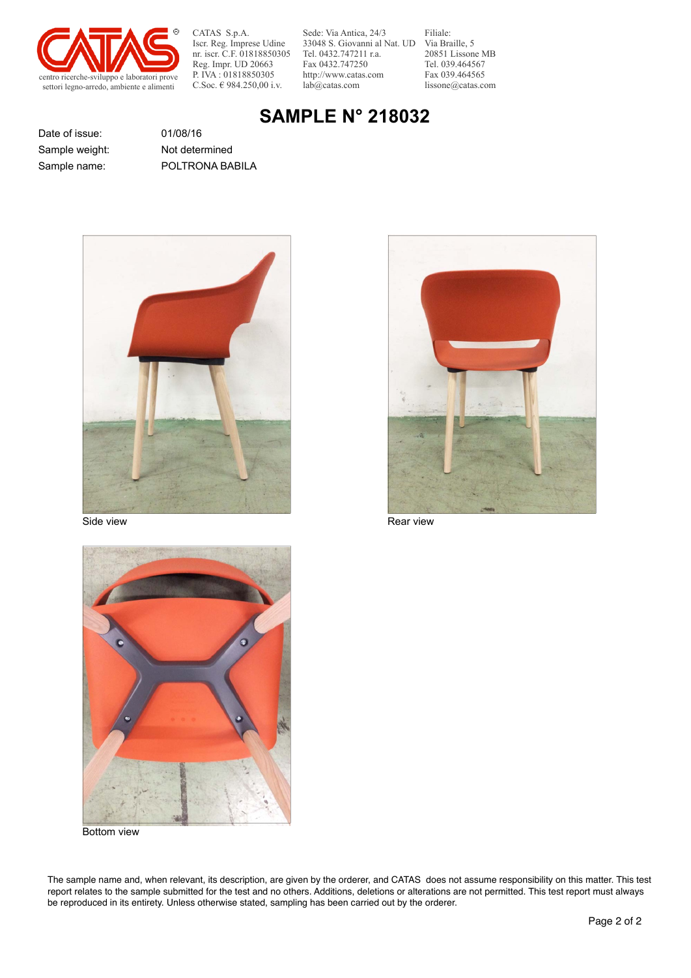

CATAS S.p.A. Iscr. Reg. Imprese Udine nr. iscr. C.F. 01818850305 Reg. Impr. UD 20663 P. IVA : 01818850305<br>C.Soc. € 984.250.00 i.v.

Sede: Via Antica, 24/3 33048 S. Giovanni al Nat. UD Via Braille, 5 Tel. 0432.747211 r.a. Fax 0432.747250 http://www.catas.com lab@catas.com

Filiale: 20851 Lissone MB Tel. 039.464567 Fax 039.464565 lissone@catas.com

### **SAMPLE N° 218032**

Date of issue: 01/08/16

Sample name: POLTRONA BABILA Sample weight: Not determined



Side view **Rear view** Rear view Rear view Rear view Rear view Rear view Rear view Rear view Rear view Rear view Rear view Rear view Rear view Rear view Rear view Rear view Rear view Rear view Rear view Rear view Rear view





Bottom view

The sample name and, when relevant, its description, are given by the orderer, and CATAS does not assume responsibility on this matter. This test report relates to the sample submitted for the test and no others. Additions, deletions or alterations are not permitted. This test report must always be reproduced in its entirety. Unless otherwise stated, sampling has been carried out by the orderer.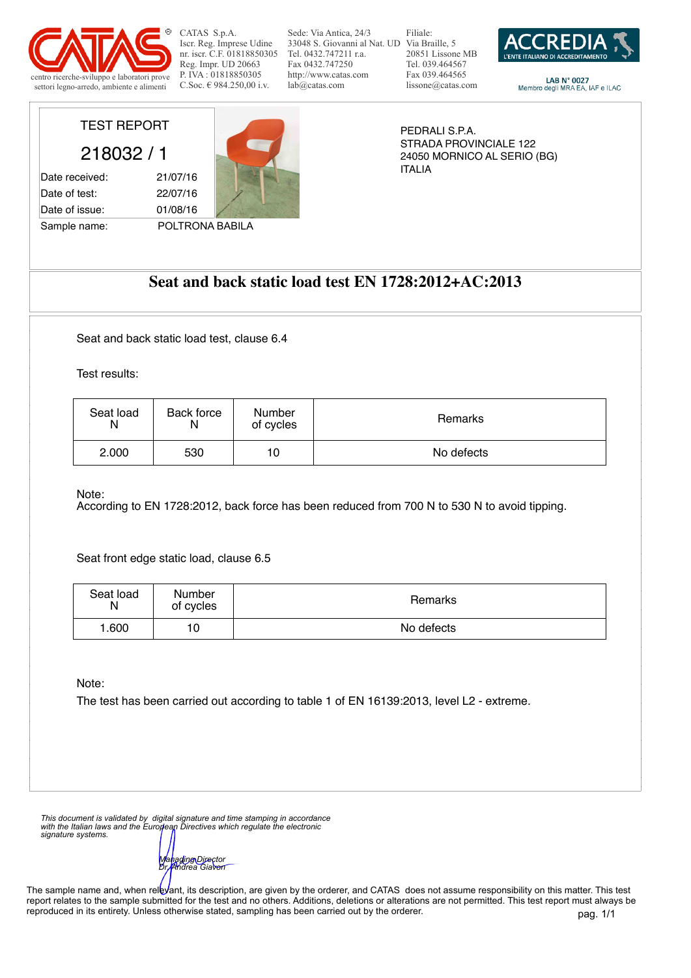

CATAS S.p.A. Iscr. Reg. Imprese Udine nr. iscr. C.F. 01818850305 Reg. Impr. UD 20663 P. IVA : 01818850305<br>C.Soc. € 984.250.00 i.v.

Sede: Via Antica, 24/3 33048 S. Giovanni al Nat. UD Via Braille, 5 Tel. 0432.747211 r.a. Fax 0432.747250 http://www.catas.com lab@catas.com

Filiale: 20851 Lissone MB Tel. 039.464567 Fax 039.464565 lissone@catas.com



LAB N° 0027<br>Membro degli MRA EA, IAF e ILAC

TEST REPORT

218032 / 1

Date received: 21/07/16 Date of test: 22/07/16 Date of issue: 01/08/16

Sample name: POLTRONA BABILA

PEDRALI S.P.A. STRADA PROVINCIALE 122 24050 MORNICO AL SERIO (BG) ITALIA

### **Seat and back static load test EN 1728:2012+AC:2013**

Seat and back static load test, clause 6.4

Test results:

Note:

According to EN 1728:2012, back force has been reduced from 700 N to 530 N to avoid tipping.

Seat front edge static load, clause 6.5

| Seat load Number<br>N of cycles            |
|--------------------------------------------|
| بمملوط والأ<br>$\sim$ $\sim$ $\sim$ $\sim$ |

Note:

The test has been carried out according to table 1 of EN 16139:2013, level L2 - extreme.

*This document is validated by digital signature and time stamping in accordance with the Italian laws and the European Directives which regulate the electronic signature systems.* 

*Managing Director Dr. Andrea Giavon* 

The sample name and, when relevant, its description, are given by the orderer, and CATAS does not assume responsibility on this matter. This test report relates to the sample submitted for the test and no others. Additions, deletions or alterations are not permitted. This test report must always be reproduced in its entirety. Unless otherwise stated, sampling has been carried out by the orderer.